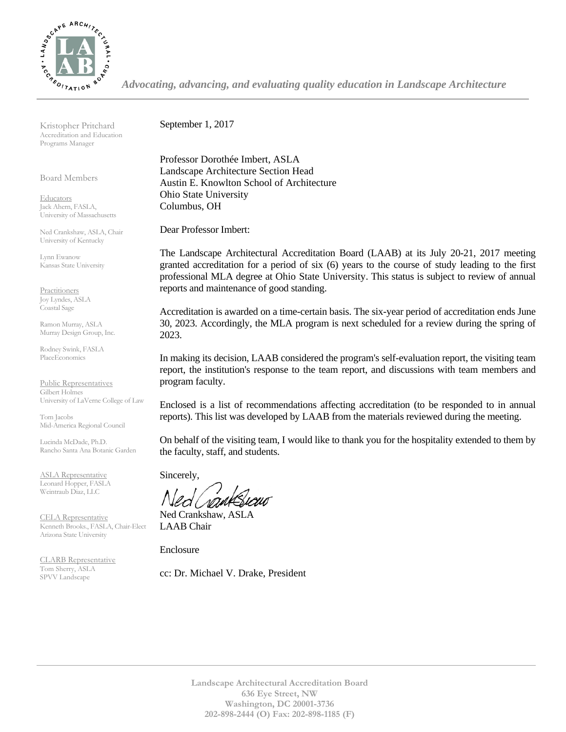

*Advocating, advancing, and evaluating quality education in Landscape Architecture*

Kristopher Pritchard Accreditation and Education Programs Manager

Board Members

**Educators** Jack Ahern, FASLA, University of Massachusetts

Ned Crankshaw, ASLA, Chair University of Kentucky

Lynn Ewanow Kansas State University

**Practitioners** Joy Lyndes, ASLA Coastal Sage

Ramon Murray, ASLA Murray Design Group, Inc.

Rodney Swink, FASLA PlaceEconomics

Public Representatives Gilbert Holmes University of LaVerne College of Law

Tom Jacobs Mid-America Regional Council

Lucinda McDade, Ph.D. Rancho Santa Ana Botanic Garden

ASLA Representative Leonard Hopper, FASLA Weintraub Diaz, LLC

CELA Representative Kenneth Brooks., FASLA, Chair-Elect Arizona State University

CLARB Representative Tom Sherry, ASLA SPVV Landscape

September 1, 2017

Professor Dorothée Imbert, ASLA Landscape Architecture Section Head Austin E. Knowlton School of Architecture Ohio State University Columbus, OH

Dear Professor Imbert:

The Landscape Architectural Accreditation Board (LAAB) at its July 20-21, 2017 meeting granted accreditation for a period of six (6) years to the course of study leading to the first professional MLA degree at Ohio State University. This status is subject to review of annual reports and maintenance of good standing.

Accreditation is awarded on a time-certain basis. The six-year period of accreditation ends June 30, 2023. Accordingly, the MLA program is next scheduled for a review during the spring of 2023.

In making its decision, LAAB considered the program's self-evaluation report, the visiting team report, the institution's response to the team report, and discussions with team members and program faculty.

Enclosed is a list of recommendations affecting accreditation (to be responded to in annual reports). This list was developed by LAAB from the materials reviewed during the meeting.

On behalf of the visiting team, I would like to thank you for the hospitality extended to them by the faculty, staff, and students.

Sincerely,

Ned Crankshaw, ASLA LAAB Chair

Enclosure

cc: Dr. Michael V. Drake, President